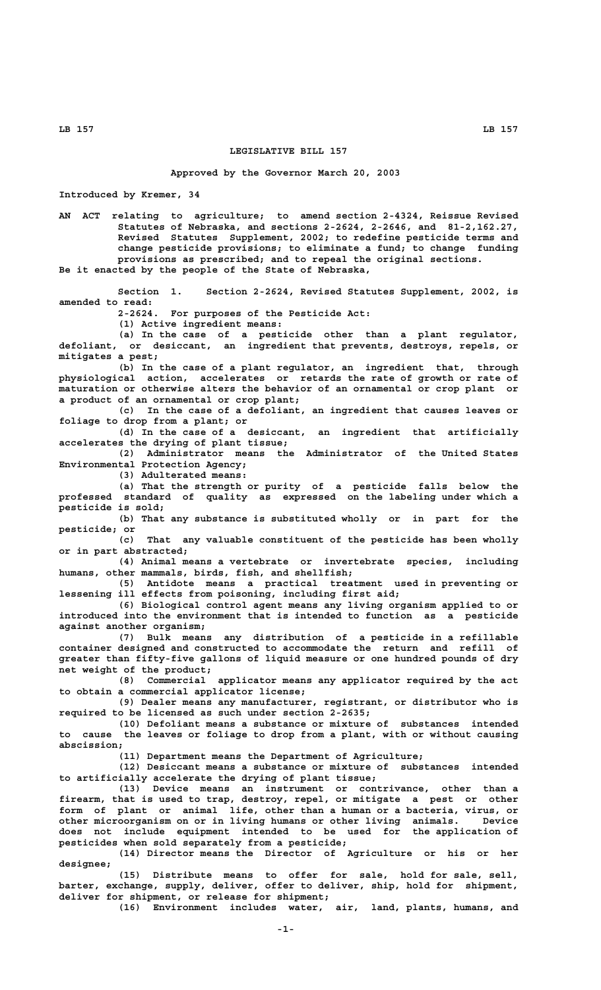## **LEGISLATIVE BILL 157**

## **Approved by the Governor March 20, 2003**

**Introduced by Kremer, 34**

**AN ACT relating to agriculture; to amend section 2-4324, Reissue Revised Statutes of Nebraska, and sections 2-2624, 2-2646, and 81-2,162.27, Revised Statutes Supplement, 2002; to redefine pesticide terms and change pesticide provisions; to eliminate a fund; to change funding provisions as prescribed; and to repeal the original sections. Be it enacted by the people of the State of Nebraska,**

**Section 1. Section 2-2624, Revised Statutes Supplement, 2002, is amended to read:**

For purposes of the Pesticide Act:

**(1) Active ingredient means:**

**(a) In the case of a pesticide other than a plant regulator, defoliant, or desiccant, an ingredient that prevents, destroys, repels, or mitigates a pest;**

**(b) In the case of a plant regulator, an ingredient that, through physiological action, accelerates or retards the rate of growth or rate of maturation or otherwise alters the behavior of an ornamental or crop plant or a product of an ornamental or crop plant;**

**(c) In the case of a defoliant, an ingredient that causes leaves or foliage to drop from a plant; or**

**(d) In the case of a desiccant, an ingredient that artificially accelerates the drying of plant tissue;**

**(2) Administrator means the Administrator of the United States Environmental Protection Agency;**

**(3) Adulterated means:**

**(a) That the strength or purity of a pesticide falls below the professed standard of quality as expressed on the labeling under which a pesticide is sold;**

**(b) That any substance is substituted wholly or in part for the pesticide; or**

**(c) That any valuable constituent of the pesticide has been wholly or in part abstracted;**

**(4) Animal means a vertebrate or invertebrate species, including humans, other mammals, birds, fish, and shellfish;**

**(5) Antidote means a practical treatment used in preventing or lessening ill effects from poisoning, including first aid;**

**(6) Biological control agent means any living organism applied to or introduced into the environment that is intended to function as a pesticide against another organism;**

**(7) Bulk means any distribution of a pesticide in a refillable container designed and constructed to accommodate the return and refill of greater than fifty-five gallons of liquid measure or one hundred pounds of dry net weight of the product;**

**(8) Commercial applicator means any applicator required by the act to obtain a commercial applicator license;**

**(9) Dealer means any manufacturer, registrant, or distributor who is required to be licensed as such under section 2-2635;**

**(10) Defoliant means a substance or mixture of substances intended to cause the leaves or foliage to drop from a plant, with or without causing abscission;**

**(11) Department means the Department of Agriculture;**

**(12) Desiccant means a substance or mixture of substances intended to artificially accelerate the drying of plant tissue;**

**(13) Device means an instrument or contrivance, other than a firearm, that is used to trap, destroy, repel, or mitigate a pest or other form of plant or animal life, other than a human or a bacteria, virus, or other microorganism on or in living humans or other living animals. Device does not include equipment intended to be used for the application of pesticides when sold separately from a pesticide;**

**(14) Director means the Director of Agriculture or his or her designee;**

**(15) Distribute means to offer for sale, hold for sale, sell, barter, exchange, supply, deliver, offer to deliver, ship, hold for shipment, deliver for shipment, or release for shipment;**

**(16) Environment includes water, air, land, plants, humans, and**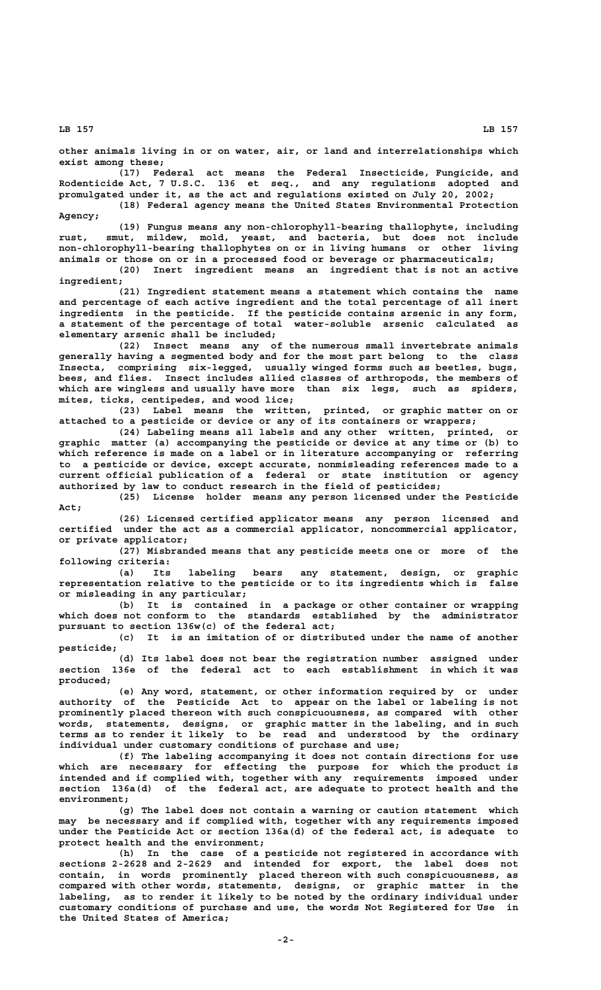**other animals living in or on water, air, or land and interrelationships which exist among these;**

**(17) Federal act means the Federal Insecticide, Fungicide, and Rodenticide Act, 7 U.S.C. 136 et seq., and any regulations adopted and promulgated under it, as the act and regulations existed on July 20, 2002;**

**(18) Federal agency means the United States Environmental Protection Agency;**

**(19) Fungus means any non-chlorophyll-bearing thallophyte, including rust, smut, mildew, mold, yeast, and bacteria, but does not include non-chlorophyll-bearing thallophytes on or in living humans or other living animals or those on or in a processed food or beverage or pharmaceuticals;**

**(20) Inert ingredient means an ingredient that is not an active ingredient;**

**(21) Ingredient statement means a statement which contains the name and percentage of each active ingredient and the total percentage of all inert ingredients in the pesticide. If the pesticide contains arsenic in any form, a statement of the percentage of total water-soluble arsenic calculated as elementary arsenic shall be included;**

**(22) Insect means any of the numerous small invertebrate animals generally having a segmented body and for the most part belong to the class Insecta, comprising six-legged, usually winged forms such as beetles, bugs, bees, and flies. Insect includes allied classes of arthropods, the members of which are wingless and usually have more than six legs, such as spiders, mites, ticks, centipedes, and wood lice;**

**(23) Label means the written, printed, or graphic matter on or attached to a pesticide or device or any of its containers or wrappers;**

**(24) Labeling means all labels and any other written, printed, or graphic matter (a) accompanying the pesticide or device at any time or (b) to which reference is made on a label or in literature accompanying or referring to a pesticide or device, except accurate, nonmisleading references made to a current official publication of a federal or state institution or agency authorized by law to conduct research in the field of pesticides;**

**(25) License holder means any person licensed under the Pesticide Act;**

**(26) Licensed certified applicator means any person licensed and certified under the act as a commercial applicator, noncommercial applicator, or private applicator;**

**(27) Misbranded means that any pesticide meets one or more of the following criteria:**

**(a) Its labeling bears any statement, design, or graphic representation relative to the pesticide or to its ingredients which is false or misleading in any particular;**

**(b) It is contained in a package or other container or wrapping which does not conform to the standards established by the administrator pursuant to section 136w(c) of the federal act;**

**(c) It is an imitation of or distributed under the name of another pesticide;**

**(d) Its label does not bear the registration number assigned under section 136e of the federal act to each establishment in which it was produced;**

**(e) Any word, statement, or other information required by or under authority of the Pesticide Act to appear on the label or labeling is not prominently placed thereon with such conspicuousness, as compared with other words, statements, designs, or graphic matter in the labeling, and in such terms as to render it likely to be read and understood by the ordinary individual under customary conditions of purchase and use;**

**(f) The labeling accompanying it does not contain directions for use which are necessary for effecting the purpose for which the product is intended and if complied with, together with any requirements imposed under section 136a(d) of the federal act, are adequate to protect health and the environment;**

**(g) The label does not contain a warning or caution statement which may be necessary and if complied with, together with any requirements imposed under the Pesticide Act or section 136a(d) of the federal act, is adequate to protect health and the environment;**

**(h) In the case of a pesticide not registered in accordance with sections 2-2628 and 2-2629 and intended for export, the label does not contain, in words prominently placed thereon with such conspicuousness, as compared with other words, statements, designs, or graphic matter in the labeling, as to render it likely to be noted by the ordinary individual under customary conditions of purchase and use, the words Not Registered for Use in the United States of America;**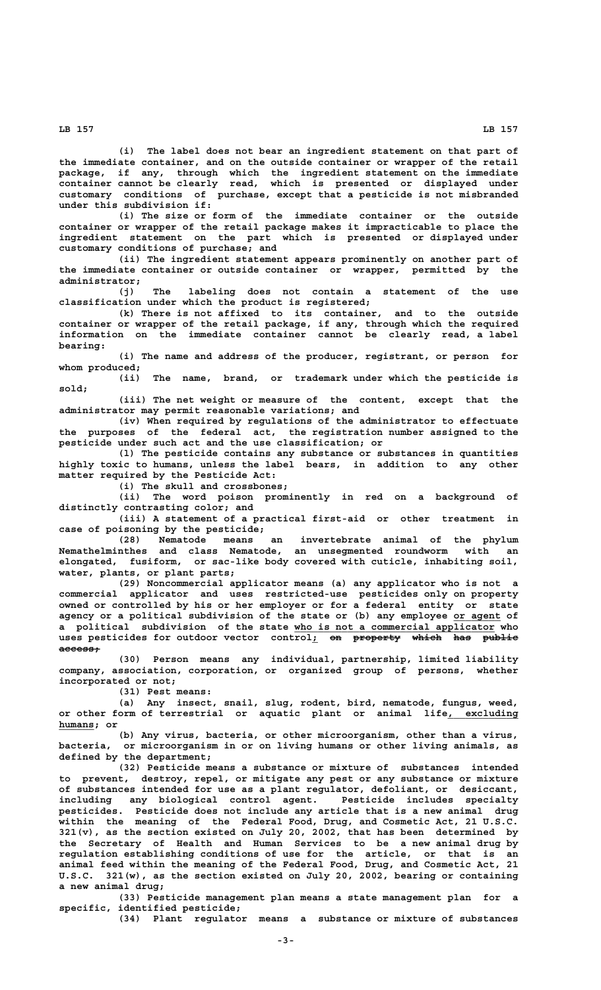**(i) The label does not bear an ingredient statement on that part of the immediate container, and on the outside container or wrapper of the retail package, if any, through which the ingredient statement on the immediate container cannot be clearly read, which is presented or displayed under customary conditions of purchase, except that a pesticide is not misbranded under this subdivision if:**

**(i) The size or form of the immediate container or the outside container or wrapper of the retail package makes it impracticable to place the ingredient statement on the part which is presented or displayed under customary conditions of purchase; and**

**(ii) The ingredient statement appears prominently on another part of the immediate container or outside container or wrapper, permitted by the administrator;**

**(j) The labeling does not contain a statement of the use classification under which the product is registered;**

**(k) There is not affixed to its container, and to the outside container or wrapper of the retail package, if any, through which the required information on the immediate container cannot be clearly read, a label bearing:**

**(i) The name and address of the producer, registrant, or person for whom produced;**

**(ii) The name, brand, or trademark under which the pesticide is sold;**

**(iii) The net weight or measure of the content, except that the administrator may permit reasonable variations; and**

**(iv) When required by regulations of the administrator to effectuate the purposes of the federal act, the registration number assigned to the pesticide under such act and the use classification; or**

**(l) The pesticide contains any substance or substances in quantities highly toxic to humans, unless the label bears, in addition to any other matter required by the Pesticide Act:**

**(i) The skull and crossbones;**

**(ii) The word poison prominently in red on a background of distinctly contrasting color; and**

**(iii) A statement of a practical first-aid or other treatment in case of poisoning by the pesticide;**

**(28) Nematode means an invertebrate animal of the phylum Nemathelminthes and class Nematode, an unsegmented roundworm with an elongated, fusiform, or sac-like body covered with cuticle, inhabiting soil, water, plants, or plant parts;**

**(29) Noncommercial applicator means (a) any applicator who is not a commercial applicator and uses restricted-use pesticides only on property owned or controlled by his or her employer or for a federal entity or state agency or a political subdivision of the state or (b) any employee or agent of \_\_\_\_\_\_\_\_ \_\_\_\_\_\_\_\_\_\_\_\_\_\_\_\_\_\_\_\_\_\_\_\_\_\_\_\_\_\_\_\_\_\_ a political subdivision of the state who is not a commercial applicator who** uses pesticides for outdoor vector control<sub>1</sub> on property which has public  **access; ———————**

**(30) Person means any individual, partnership, limited liability company, association, corporation, or organized group of persons, whether incorporated or not;**

**(31) Pest means:**

**(a) Any insect, snail, slug, rodent, bird, nematode, fungus, weed,** or other form of terrestrial or aquatic plant or animal life, excluding  **humans; or \_\_\_\_\_\_**

**(b) Any virus, bacteria, or other microorganism, other than a virus, bacteria, or microorganism in or on living humans or other living animals, as defined by the department;**

**(32) Pesticide means a substance or mixture of substances intended to prevent, destroy, repel, or mitigate any pest or any substance or mixture of substances intended for use as a plant regulator, defoliant, or desiccant, including any biological control agent. Pesticide includes specialty pesticides. Pesticide does not include any article that is a new animal drug within the meaning of the Federal Food, Drug, and Cosmetic Act, 21 U.S.C. 321(v), as the section existed on July 20, 2002, that has been determined by the Secretary of Health and Human Services to be a new animal drug by regulation establishing conditions of use for the article, or that is an animal feed within the meaning of the Federal Food, Drug, and Cosmetic Act, 21 U.S.C. 321(w), as the section existed on July 20, 2002, bearing or containing a new animal drug;**

**(33) Pesticide management plan means a state management plan for a specific, identified pesticide;**

**(34) Plant regulator means a substance or mixture of substances**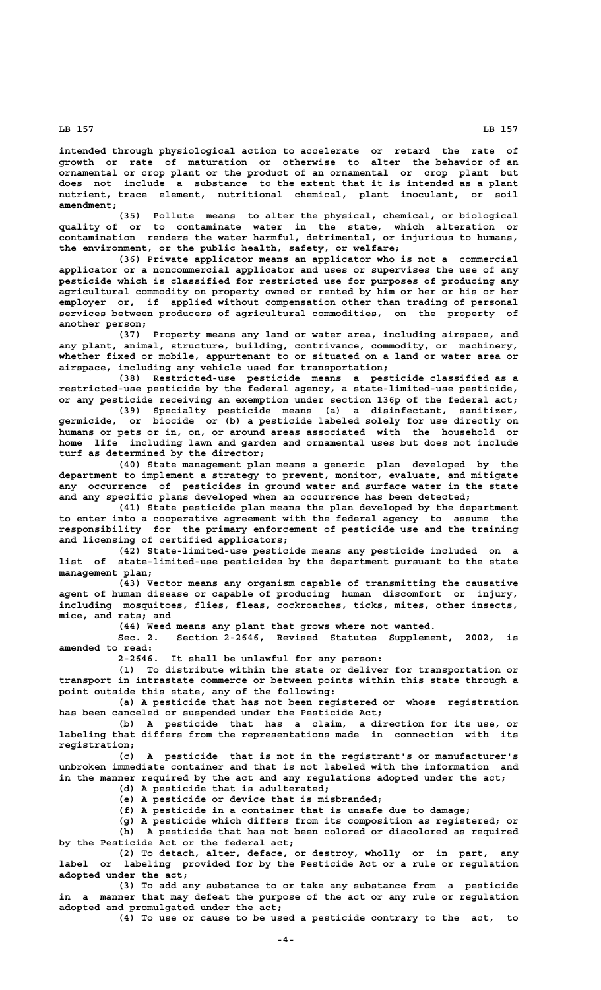**intended through physiological action to accelerate or retard the rate of growth or rate of maturation or otherwise to alter the behavior of an ornamental or crop plant or the product of an ornamental or crop plant but does not include a substance to the extent that it is intended as a plant nutrient, trace element, nutritional chemical, plant inoculant, or soil amendment;**

**(35) Pollute means to alter the physical, chemical, or biological quality of or to contaminate water in the state, which alteration or contamination renders the water harmful, detrimental, or injurious to humans, the environment, or the public health, safety, or welfare;**

**(36) Private applicator means an applicator who is not a commercial applicator or a noncommercial applicator and uses or supervises the use of any pesticide which is classified for restricted use for purposes of producing any agricultural commodity on property owned or rented by him or her or his or her employer or, if applied without compensation other than trading of personal services between producers of agricultural commodities, on the property of another person;**

**(37) Property means any land or water area, including airspace, and any plant, animal, structure, building, contrivance, commodity, or machinery, whether fixed or mobile, appurtenant to or situated on a land or water area or airspace, including any vehicle used for transportation;**

**(38) Restricted-use pesticide means a pesticide classified as a restricted-use pesticide by the federal agency, a state-limited-use pesticide, or any pesticide receiving an exemption under section 136p of the federal act;**

**(39) Specialty pesticide means (a) a disinfectant, sanitizer, germicide, or biocide or (b) a pesticide labeled solely for use directly on humans or pets or in, on, or around areas associated with the household or home life including lawn and garden and ornamental uses but does not include turf as determined by the director;**

**(40) State management plan means a generic plan developed by the department to implement a strategy to prevent, monitor, evaluate, and mitigate any occurrence of pesticides in ground water and surface water in the state and any specific plans developed when an occurrence has been detected;**

**(41) State pesticide plan means the plan developed by the department to enter into a cooperative agreement with the federal agency to assume the responsibility for the primary enforcement of pesticide use and the training and licensing of certified applicators;**

**(42) State-limited-use pesticide means any pesticide included on a list of state-limited-use pesticides by the department pursuant to the state management plan;**

**(43) Vector means any organism capable of transmitting the causative agent of human disease or capable of producing human discomfort or injury, including mosquitoes, flies, fleas, cockroaches, ticks, mites, other insects, mice, and rats; and**

**(44) Weed means any plant that grows where not wanted.**

**Sec. 2. Section 2-2646, Revised Statutes Supplement, 2002, is amended to read:**

**2-2646. It shall be unlawful for any person:**

**(1) To distribute within the state or deliver for transportation or transport in intrastate commerce or between points within this state through a point outside this state, any of the following:**

**(a) A pesticide that has not been registered or whose registration has been canceled or suspended under the Pesticide Act;**

**(b) A pesticide that has a claim, a direction for its use, or labeling that differs from the representations made in connection with its registration;**

**(c) A pesticide that is not in the registrant's or manufacturer's unbroken immediate container and that is not labeled with the information and in the manner required by the act and any regulations adopted under the act;**

**(d) A pesticide that is adulterated;**

**(e) A pesticide or device that is misbranded;**

**(f) A pesticide in a container that is unsafe due to damage;**

**(g) A pesticide which differs from its composition as registered; or (h) A pesticide that has not been colored or discolored as required by the Pesticide Act or the federal act;**

**(2) To detach, alter, deface, or destroy, wholly or in part, any label or labeling provided for by the Pesticide Act or a rule or regulation adopted under the act;**

**(3) To add any substance to or take any substance from a pesticide in a manner that may defeat the purpose of the act or any rule or regulation adopted and promulgated under the act;**

**(4) To use or cause to be used a pesticide contrary to the act, to**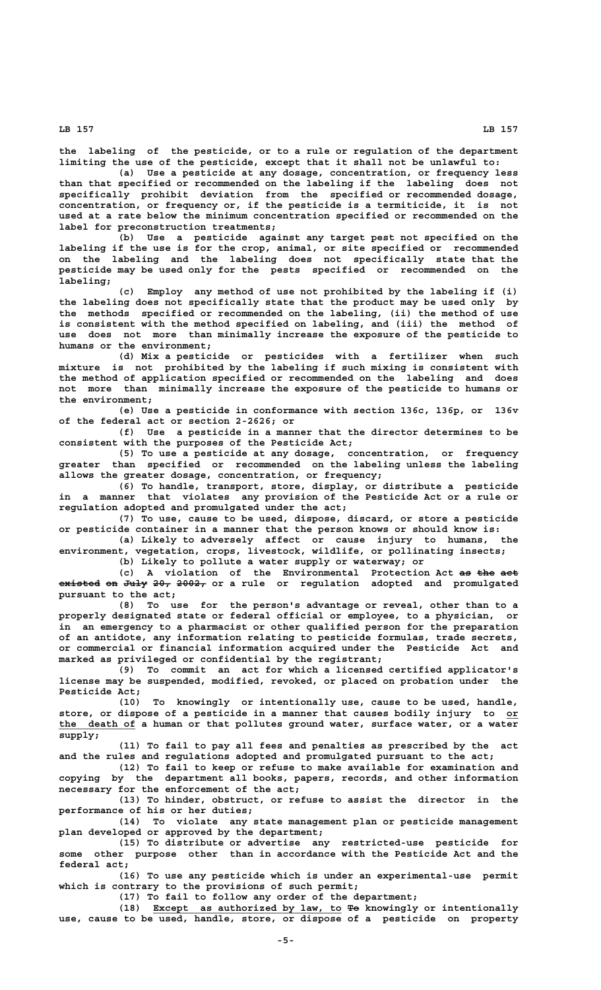**the labeling of the pesticide, or to a rule or regulation of the department limiting the use of the pesticide, except that it shall not be unlawful to:**

**(a) Use a pesticide at any dosage, concentration, or frequency less than that specified or recommended on the labeling if the labeling does not specifically prohibit deviation from the specified or recommended dosage, concentration, or frequency or, if the pesticide is a termiticide, it is not used at a rate below the minimum concentration specified or recommended on the label for preconstruction treatments;**

**(b) Use a pesticide against any target pest not specified on the labeling if the use is for the crop, animal, or site specified or recommended on the labeling and the labeling does not specifically state that the pesticide may be used only for the pests specified or recommended on the labeling;**

**(c) Employ any method of use not prohibited by the labeling if (i) the labeling does not specifically state that the product may be used only by the methods specified or recommended on the labeling, (ii) the method of use is consistent with the method specified on labeling, and (iii) the method of use does not more than minimally increase the exposure of the pesticide to humans or the environment;**

**(d) Mix a pesticide or pesticides with a fertilizer when such mixture is not prohibited by the labeling if such mixing is consistent with the method of application specified or recommended on the labeling and does not more than minimally increase the exposure of the pesticide to humans or the environment;**

**(e) Use a pesticide in conformance with section 136c, 136p, or 136v of the federal act or section 2-2626; or**

**(f) Use a pesticide in a manner that the director determines to be consistent with the purposes of the Pesticide Act;**

**(5) To use a pesticide at any dosage, concentration, or frequency greater than specified or recommended on the labeling unless the labeling allows the greater dosage, concentration, or frequency;**

**(6) To handle, transport, store, display, or distribute a pesticide in a manner that violates any provision of the Pesticide Act or a rule or regulation adopted and promulgated under the act;**

**(7) To use, cause to be used, dispose, discard, or store a pesticide or pesticide container in a manner that the person knows or should know is:**

**(a) Likely to adversely affect or cause injury to humans, the environment, vegetation, crops, livestock, wildlife, or pollinating insects;**

**(b) Likely to pollute a water supply or waterway; or**

(c) A violation of the Environmental Protection Act as the act **existed on July 20, 2002, or a rule or regulation adopted and promulgated ——————— —— ———— ——— ———— pursuant to the act;**

**(8) To use for the person's advantage or reveal, other than to a properly designated state or federal official or employee, to a physician, or in an emergency to a pharmacist or other qualified person for the preparation of an antidote, any information relating to pesticide formulas, trade secrets, or commercial or financial information acquired under the Pesticide Act and marked as privileged or confidential by the registrant;**

**(9) To commit an act for which a licensed certified applicator's license may be suspended, modified, revoked, or placed on probation under the Pesticide Act;**

**(10) To knowingly or intentionally use, cause to be used, handle, store, or dispose of a pesticide in a manner that causes bodily injury to or\_\_ \_\_\_\_\_\_\_\_\_\_\_\_\_ the death of a human or that pollutes ground water, surface water, or a water supply;**

**(11) To fail to pay all fees and penalties as prescribed by the act and the rules and regulations adopted and promulgated pursuant to the act;**

**(12) To fail to keep or refuse to make available for examination and copying by the department all books, papers, records, and other information necessary for the enforcement of the act;**

**(13) To hinder, obstruct, or refuse to assist the director in the performance of his or her duties;**

**(14) To violate any state management plan or pesticide management plan developed or approved by the department;**

**(15) To distribute or advertise any restricted-use pesticide for some other purpose other than in accordance with the Pesticide Act and the federal act;**

**(16) To use any pesticide which is under an experimental-use permit which is contrary to the provisions of such permit;**

**(17) To fail to follow any order of the department;**

 **\_\_\_\_\_\_\_\_\_\_\_\_\_\_\_\_\_\_\_\_\_\_\_\_\_\_\_\_\_\_\_\_ —— (18) Except as authorized by law, to To knowingly or intentionally use, cause to be used, handle, store, or dispose of a pesticide on property**